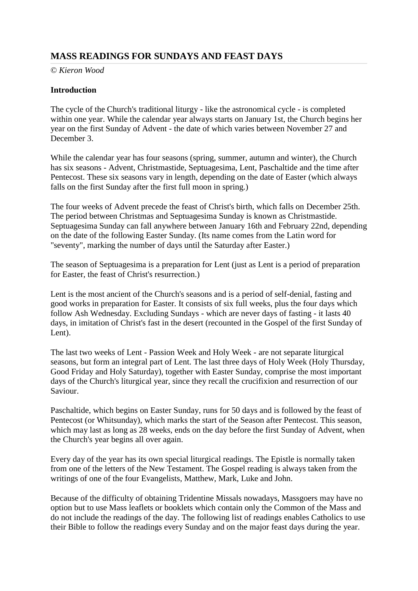## **MASS READINGS FOR SUNDAYS AND FEAST DAYS**

© *Kieron Wood*

### **Introduction**

The cycle of the Church's traditional liturgy - like the astronomical cycle - is completed within one year. While the calendar year always starts on January 1st, the Church begins her year on the first Sunday of Advent - the date of which varies between November 27 and December 3.

While the calendar year has four seasons (spring, summer, autumn and winter), the Church has six seasons - Advent, Christmastide, Septuagesima, Lent, Paschaltide and the time after Pentecost. These six seasons vary in length, depending on the date of Easter (which always falls on the first Sunday after the first full moon in spring.)

The four weeks of Advent precede the feast of Christ's birth, which falls on December 25th. The period between Christmas and Septuagesima Sunday is known as Christmastide. Septuagesima Sunday can fall anywhere between January 16th and February 22nd, depending on the date of the following Easter Sunday. (Its name comes from the Latin word for "seventy", marking the number of days until the Saturday after Easter.)

The season of Septuagesima is a preparation for Lent (just as Lent is a period of preparation for Easter, the feast of Christ's resurrection.)

Lent is the most ancient of the Church's seasons and is a period of self-denial, fasting and good works in preparation for Easter. It consists of six full weeks, plus the four days which follow Ash Wednesday. Excluding Sundays - which are never days of fasting - it lasts 40 days, in imitation of Christ's fast in the desert (recounted in the Gospel of the first Sunday of Lent).

The last two weeks of Lent - Passion Week and Holy Week - are not separate liturgical seasons, but form an integral part of Lent. The last three days of Holy Week (Holy Thursday, Good Friday and Holy Saturday), together with Easter Sunday, comprise the most important days of the Church's liturgical year, since they recall the crucifixion and resurrection of our Saviour.

Paschaltide, which begins on Easter Sunday, runs for 50 days and is followed by the feast of Pentecost (or Whitsunday), which marks the start of the Season after Pentecost. This season, which may last as long as 28 weeks, ends on the day before the first Sunday of Advent, when the Church's year begins all over again.

Every day of the year has its own special liturgical readings. The Epistle is normally taken from one of the letters of the New Testament. The Gospel reading is always taken from the writings of one of the four Evangelists, Matthew, Mark, Luke and John.

Because of the difficulty of obtaining Tridentine Missals nowadays, Massgoers may have no option but to use Mass leaflets or booklets which contain only the Common of the Mass and do not include the readings of the day. The following list of readings enables Catholics to use their Bible to follow the readings every Sunday and on the major feast days during the year.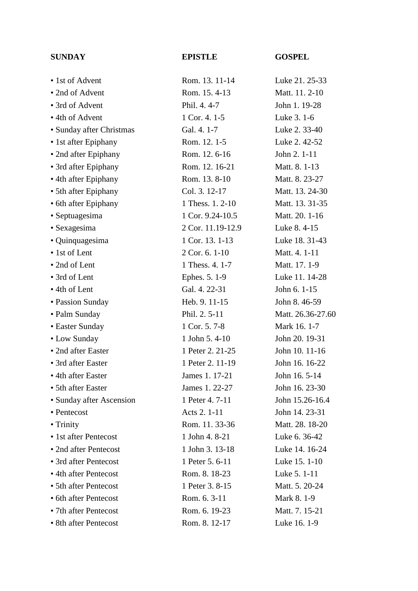## **SUNDAY EPISTLE GOSPEL**

| • 1st of Advent          | Rom. 13. 11-14    | Luke 21. 25-33    |
|--------------------------|-------------------|-------------------|
| • 2nd of Advent          | Rom. 15.4-13      | Matt. 11. 2-10    |
| • 3rd of Advent          | Phil. 4.4-7       | John 1. 19-28     |
| • 4th of Advent          | 1 Cor. 4. 1-5     | Luke 3. 1-6       |
| · Sunday after Christmas | Gal. 4. 1-7       | Luke 2.33-40      |
| • 1st after Epiphany     | Rom. 12. 1-5      | Luke 2.42-52      |
| • 2nd after Epiphany     | Rom. 12. 6-16     | John 2. 1-11      |
| • 3rd after Epiphany     | Rom. 12. 16-21    | Matt. 8. 1-13     |
| • 4th after Epiphany     | Rom. 13.8-10      | Matt. 8. 23-27    |
| • 5th after Epiphany     | Col. 3. 12-17     | Matt. 13. 24-30   |
| • 6th after Epiphany     | 1 Thess. 1. 2-10  | Matt. 13. 31-35   |
| • Septuagesima           | 1 Cor. 9.24-10.5  | Matt. 20. 1-16    |
| • Sexagesima             | 2 Cor. 11.19-12.9 | Luke 8.4-15       |
| • Quinquagesima          | 1 Cor. 13. 1-13   | Luke 18. 31-43    |
| • 1st of Lent            | 2 Cor. 6, 1-10    | Matt. 4. 1-11     |
| • 2nd of Lent            | 1 Thess. 4. 1-7   | Matt. 17. 1-9     |
| • 3rd of Lent            | Ephes. 5. 1-9     | Luke 11. 14-28    |
| • 4th of Lent            | Gal. 4. 22-31     | John 6. 1-15      |
| • Passion Sunday         | Heb. 9. 11-15     | John 8.46-59      |
| • Palm Sunday            | Phil. 2. 5-11     | Matt. 26.36-27.60 |
| • Easter Sunday          | 1 Cor. 5. 7-8     | Mark 16.1-7       |
| • Low Sunday             | 1 John 5.4-10     | John 20. 19-31    |
| • 2nd after Easter       | 1 Peter 2. 21-25  | John 10. 11-16    |
| • 3rd after Easter       | 1 Peter 2. 11-19  | John 16. 16-22    |
| • 4th after Easter       | James 1. 17-21    | John 16.5-14      |
| • 5th after Easter       | James 1. 22-27    | John 16. 23-30    |
| • Sunday after Ascension | 1 Peter 4. 7-11   | John 15.26-16.4   |
| • Pentecost              | Acts 2. 1-11      | John 14. 23-31    |
| $\bullet$ Trinity        | Rom. 11. 33-36    | Matt. 28. 18-20   |
| • 1st after Pentecost    | 1 John 4.8-21     | Luke 6. 36-42     |
| • 2nd after Pentecost    | 1 John 3. 13-18   | Luke 14. 16-24    |
| • 3rd after Pentecost    | 1 Peter 5. 6-11   | Luke 15. 1-10     |
| • 4th after Pentecost    | Rom. 8. 18-23     | Luke 5. 1-11      |
| • 5th after Pentecost    | 1 Peter 3. 8-15   | Matt. 5. 20-24    |
| • 6th after Pentecost    | Rom. 6. 3-11      | Mark 8.1-9        |
|                          |                   |                   |
| • 7th after Pentecost    | Rom. 6. 19-23     | Matt. 7. 15-21    |